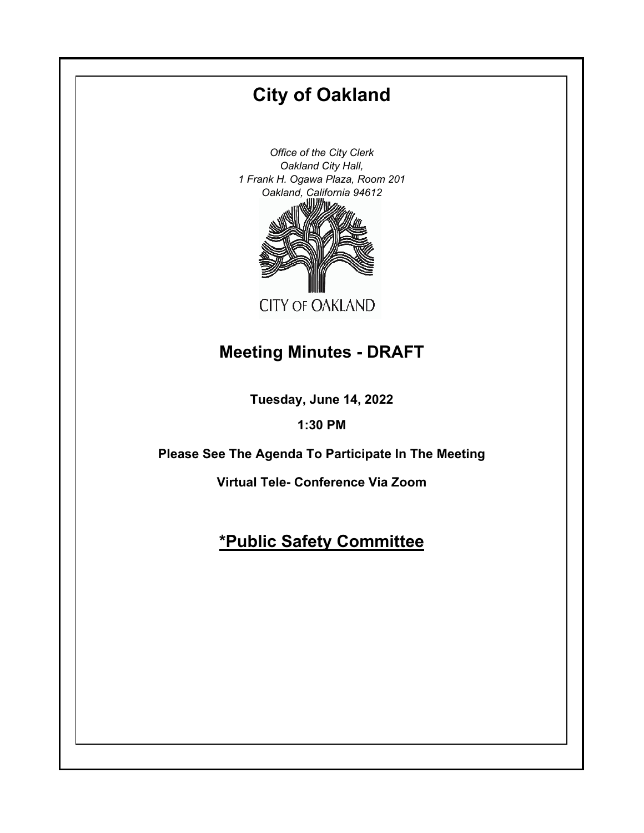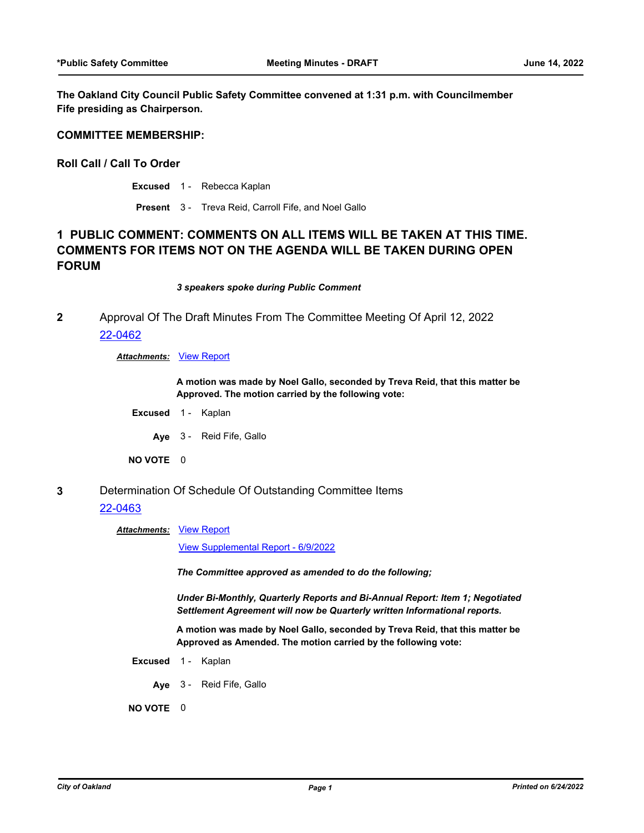**The Oakland City Council Public Safety Committee convened at 1:31 p.m. with Councilmember Fife presiding as Chairperson.**

## **COMMITTEE MEMBERSHIP:**

**Roll Call / Call To Order**

**Excused** 1 - Rebecca Kaplan

**Present** 3 - Treva Reid, Carroll Fife, and Noel Gallo

# **1 PUBLIC COMMENT: COMMENTS ON ALL ITEMS WILL BE TAKEN AT THIS TIME. COMMENTS FOR ITEMS NOT ON THE AGENDA WILL BE TAKEN DURING OPEN FORUM**

*3 speakers spoke during Public Comment*

**2** Approval Of The Draft Minutes From The Committee Meeting Of April 12, 2022 [22-0462](http://oakland.legistar.com/gateway.aspx?m=l&id=/matter.aspx?key=33383)

#### *Attachments:* [View Report](http://oakland.legistar.com/gateway.aspx?M=F&ID=1b7f244b-b99b-4d07-95d6-a993e6e6bc87.pdf)

**A motion was made by Noel Gallo, seconded by Treva Reid, that this matter be Approved. The motion carried by the following vote:**

- **Excused** 1 Kaplan
	- **Aye** 3 Reid Fife, Gallo

**NO VOTE** 0

**3** Determination Of Schedule Of Outstanding Committee Items

## [22-0463](http://oakland.legistar.com/gateway.aspx?m=l&id=/matter.aspx?key=33384)

**Attachments: [View Report](http://oakland.legistar.com/gateway.aspx?M=F&ID=7a1e6f40-a87a-43bf-85f3-295b8d2386e5.pdf)** 

[View Supplemental Report - 6/9/2022](http://oakland.legistar.com/gateway.aspx?M=F&ID=7f3e28ae-1a2b-4ea7-962f-04d870858c86.pdf)

*The Committee approved as amended to do the following;* 

*Under Bi-Monthly, Quarterly Reports and Bi-Annual Report: Item 1; Negotiated Settlement Agreement will now be Quarterly written Informational reports.*

**A motion was made by Noel Gallo, seconded by Treva Reid, that this matter be Approved as Amended. The motion carried by the following vote:**

- **Excused** 1 Kaplan
	- **Aye** 3 Reid Fife, Gallo

**NO VOTE** 0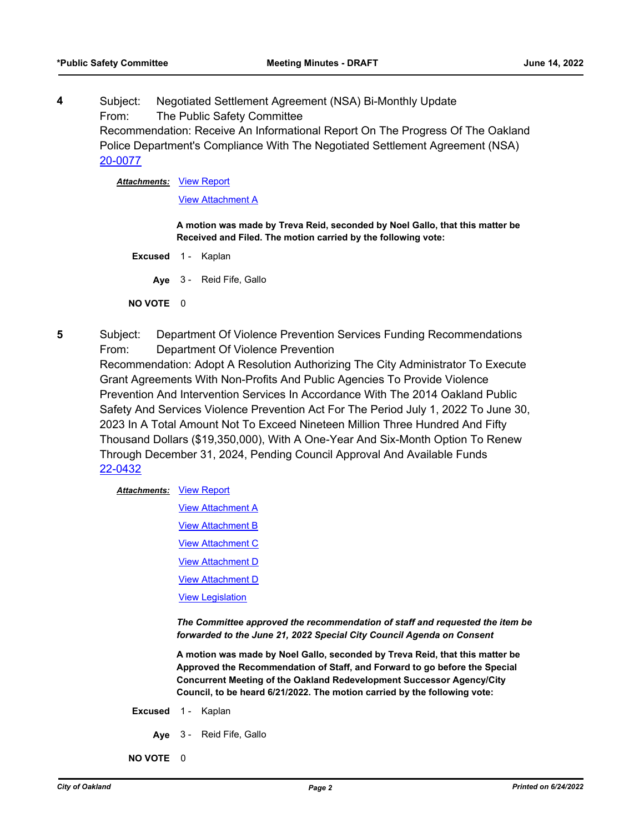**4** Subject: Negotiated Settlement Agreement (NSA) Bi-Monthly Update From: The Public Safety Committee Recommendation: Receive An Informational Report On The Progress Of The Oakland Police Department's Compliance With The Negotiated Settlement Agreement (NSA) [20-0077](http://oakland.legistar.com/gateway.aspx?m=l&id=/matter.aspx?key=31065)

**Attachments: [View Report](http://oakland.legistar.com/gateway.aspx?M=F&ID=403fec50-3f83-4527-b4d1-52102a454aac.pdf)** 

[View Attachment A](http://oakland.legistar.com/gateway.aspx?M=F&ID=1d859172-9794-473f-81b1-d5a9fe45bb21.pdf)

**A motion was made by Treva Reid, seconded by Noel Gallo, that this matter be Received and Filed. The motion carried by the following vote:**

**Excused** 1 - Kaplan

**Aye** 3 - Reid Fife, Gallo

**NO VOTE** 0

**5** Subject: Department Of Violence Prevention Services Funding Recommendations From: Department Of Violence Prevention

Recommendation: Adopt A Resolution Authorizing The City Administrator To Execute Grant Agreements With Non-Profits And Public Agencies To Provide Violence Prevention And Intervention Services In Accordance With The 2014 Oakland Public Safety And Services Violence Prevention Act For The Period July 1, 2022 To June 30, 2023 In A Total Amount Not To Exceed Nineteen Million Three Hundred And Fifty Thousand Dollars (\$19,350,000), With A One-Year And Six-Month Option To Renew Through December 31, 2024, Pending Council Approval And Available Funds [22-0432](http://oakland.legistar.com/gateway.aspx?m=l&id=/matter.aspx?key=33353)

#### **Attachments: [View Report](http://oakland.legistar.com/gateway.aspx?M=F&ID=fcb36ef4-aa02-4b4b-b3d6-177cfb450f0d.pdf)**

- [View Attachment A](http://oakland.legistar.com/gateway.aspx?M=F&ID=89294289-2d48-4718-b5ae-75160dc81571.pdf)
- **[View Attachment B](http://oakland.legistar.com/gateway.aspx?M=F&ID=253a77a6-9637-4c7d-b173-e144c94fe590.pdf)**
- **[View Attachment C](http://oakland.legistar.com/gateway.aspx?M=F&ID=f4f73e58-c3da-4d6c-8db0-eba81933f558.pdf)**
- **[View Attachment D](http://oakland.legistar.com/gateway.aspx?M=F&ID=2ba78b1c-bdc6-4140-b0cf-ffc8cdb2092a.pdf)**

[View Attachment D](http://oakland.legistar.com/gateway.aspx?M=F&ID=0f8b8d26-2f47-4312-a0bf-ec7a8cd2dde7.pdf)

[View Legislation](http://oakland.legistar.com/gateway.aspx?M=F&ID=f64658f7-693a-4500-acdc-9e3861830fa8.pdf)

*The Committee approved the recommendation of staff and requested the item be forwarded to the June 21, 2022 Special City Council Agenda on Consent*

**A motion was made by Noel Gallo, seconded by Treva Reid, that this matter be Approved the Recommendation of Staff, and Forward to go before the Special Concurrent Meeting of the Oakland Redevelopment Successor Agency/City Council, to be heard 6/21/2022. The motion carried by the following vote:**

- **Excused** 1 Kaplan
	- **Aye** 3 Reid Fife, Gallo
- **NO VOTE** 0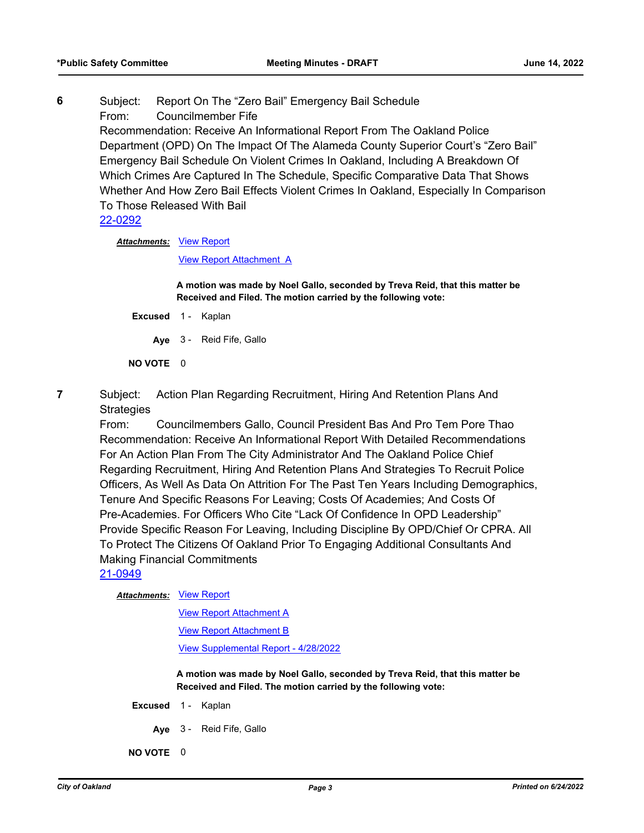**6** Subject: Report On The "Zero Bail" Emergency Bail Schedule From: Councilmember Fife Recommendation: Receive An Informational Report From The Oakland Police Department (OPD) On The Impact Of The Alameda County Superior Court's "Zero Bail" Emergency Bail Schedule On Violent Crimes In Oakland, Including A Breakdown Of Which Crimes Are Captured In The Schedule, Specific Comparative Data That Shows Whether And How Zero Bail Effects Violent Crimes In Oakland, Especially In Comparison To Those Released With Bail [22-0292](http://oakland.legistar.com/gateway.aspx?m=l&id=/matter.aspx?key=33213)

### **Attachments: [View Report](http://oakland.legistar.com/gateway.aspx?M=F&ID=30d54de3-35e1-42c4-9910-4e9efed0008b.pdf)**

[View Report Attachment A](http://oakland.legistar.com/gateway.aspx?M=F&ID=a543b629-5abf-47df-9aef-345ac69158e2.pdf)

**A motion was made by Noel Gallo, seconded by Treva Reid, that this matter be Received and Filed. The motion carried by the following vote:**

- **Excused** 1 Kaplan
	- **Aye** 3 Reid Fife, Gallo

**NO VOTE** 0

**7** Subject: Action Plan Regarding Recruitment, Hiring And Retention Plans And **Strategies** 

From: Councilmembers Gallo, Council President Bas And Pro Tem Pore Thao Recommendation: Receive An Informational Report With Detailed Recommendations For An Action Plan From The City Administrator And The Oakland Police Chief Regarding Recruitment, Hiring And Retention Plans And Strategies To Recruit Police Officers, As Well As Data On Attrition For The Past Ten Years Including Demographics, Tenure And Specific Reasons For Leaving; Costs Of Academies; And Costs Of Pre-Academies. For Officers Who Cite "Lack Of Confidence In OPD Leadership" Provide Specific Reason For Leaving, Including Discipline By OPD/Chief Or CPRA. All To Protect The Citizens Of Oakland Prior To Engaging Additional Consultants And Making Financial Commitments

## [21-0949](http://oakland.legistar.com/gateway.aspx?m=l&id=/matter.aspx?key=32873)

#### **Attachments: [View Report](http://oakland.legistar.com/gateway.aspx?M=F&ID=24bc8c30-db65-4324-96e0-4110ff597234.pdf)**

[View Report Attachment A](http://oakland.legistar.com/gateway.aspx?M=F&ID=a1adca88-c67a-4821-8e7e-54870033a460.pdf)

[View Report Attachment B](http://oakland.legistar.com/gateway.aspx?M=F&ID=6fbfc41c-257b-48f6-b171-6c8152c18196.pdf)

[View Supplemental Report - 4/28/2022](http://oakland.legistar.com/gateway.aspx?M=F&ID=c078db59-8ca9-40e3-ac0a-4d98f762f6c7.pdf)

**A motion was made by Noel Gallo, seconded by Treva Reid, that this matter be Received and Filed. The motion carried by the following vote:**

- **Excused** 1 Kaplan
	- **Aye** 3 Reid Fife, Gallo
- **NO VOTE** 0